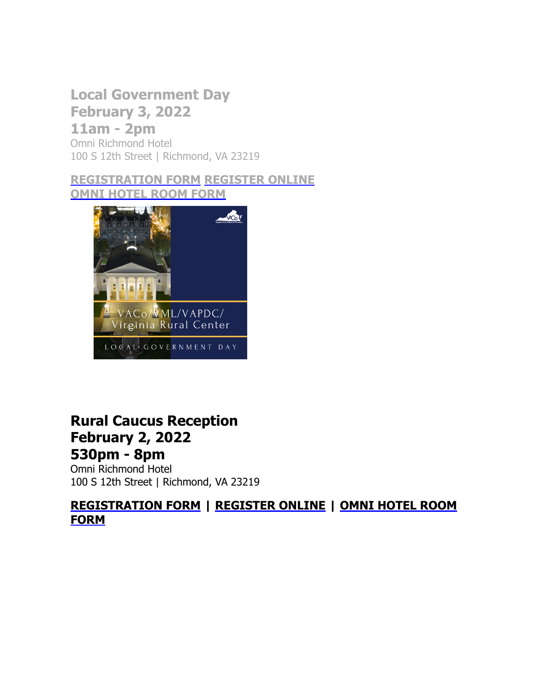## **Local Government Day**

**February 3, 2022 11am - 2pm** Omni Richmond Hotel 100 S 12th Street | Richmond, VA 23219

**[REGISTRATION FORM](https://r20.rs6.net/tn.jsp?f=001d73Ri_mZxLW4BlJuQAFH8GRFhj3Y2BHRXsQyH2xsmu3kFCaqUHeVuKgBDI_QX4tTpXvn1ZfQmobkrzsaRdwL2ZkgteQrEQMPQk5z6K4nJ58owA1m2vJxCN_JtQ_b7DCvEe2PjcrbespGwdsT2aEE9N5KY4UMFfe3cX1m3y8PTgQ6iTRSP9whyDT8i18BEP_gaARN6t2RneAI2bx-7x5avtM8bPzTicbUETFcJurwIJN6xna2zESqGA==&c=Mx60NZdBLe5FuYfdIe6YfbtDQjYRZqOxrsfiYMdGSQSKwuD2gPbn0w==&ch=lLRtk-qlJSfwSW1Ysd5yu-0lV9qyTQDzEBnFxiJgP0mzy9jP4QQTPw==) [REGISTER ONLINE](https://r20.rs6.net/tn.jsp?f=001d73Ri_mZxLW4BlJuQAFH8GRFhj3Y2BHRXsQyH2xsmu3kFCaqUHeVuJA2nN0YciUCvREctZ30VdWvQCgDUbxBWd643jVSfuJILGJPhvEkHWslQUrZDbWQUooMlZPlWcZWN8F5oXGaNUZ8-Awe_hszWqowCUQzc1ziXV_n5B_m8Y2_cXcOychmDDYNxUCyY9XFGtXMMPdeOn43J-6GFJU_pYJ5OTKjNRav1PTTnkjFzvk=&c=Mx60NZdBLe5FuYfdIe6YfbtDQjYRZqOxrsfiYMdGSQSKwuD2gPbn0w==&ch=lLRtk-qlJSfwSW1Ysd5yu-0lV9qyTQDzEBnFxiJgP0mzy9jP4QQTPw==) [OMNI HOTEL ROOM FORM](https://r20.rs6.net/tn.jsp?f=001d73Ri_mZxLW4BlJuQAFH8GRFhj3Y2BHRXsQyH2xsmu3kFCaqUHeVuKgBDI_QX4tTegNbeK5cymc_iCiFxoY7GbIqSTAYFkm2wL3LFkAQRnauRLRaj_EoNE0ImwfNyUi52ohna6pyOTJqok-EPsIvquQ3o_JzbFsOJOz5lQcU9L-fsE4yDyLs67N-5d581u0lp8k47U78ND8lJ4-E8mNYTFZmiU8Y2QasorRZkHb3pddi542UelLQeyyZuM4QlxH4&c=Mx60NZdBLe5FuYfdIe6YfbtDQjYRZqOxrsfiYMdGSQSKwuD2gPbn0w==&ch=lLRtk-qlJSfwSW1Ysd5yu-0lV9qyTQDzEBnFxiJgP0mzy9jP4QQTPw==)**



## **Rural Caucus Reception February 2, 2022 530pm - 8pm**

Omni Richmond Hotel 100 S 12th Street | Richmond, VA 23219

**[REGISTRATION FORM](https://r20.rs6.net/tn.jsp?f=001d73Ri_mZxLW4BlJuQAFH8GRFhj3Y2BHRXsQyH2xsmu3kFCaqUHeVuKgBDI_QX4tTegNbeK5cymc_iCiFxoY7GbIqSTAYFkm2wL3LFkAQRnauRLRaj_EoNE0ImwfNyUi52ohna6pyOTJqok-EPsIvquQ3o_JzbFsOJOz5lQcU9L-fsE4yDyLs67N-5d581u0lp8k47U78ND8lJ4-E8mNYTFZmiU8Y2QasorRZkHb3pddi542UelLQeyyZuM4QlxH4&c=Mx60NZdBLe5FuYfdIe6YfbtDQjYRZqOxrsfiYMdGSQSKwuD2gPbn0w==&ch=lLRtk-qlJSfwSW1Ysd5yu-0lV9qyTQDzEBnFxiJgP0mzy9jP4QQTPw==) | [REGISTER ONLINE](https://r20.rs6.net/tn.jsp?f=001d73Ri_mZxLW4BlJuQAFH8GRFhj3Y2BHRXsQyH2xsmu3kFCaqUHeVuJA2nN0YciUCvREctZ30VdWvQCgDUbxBWd643jVSfuJILGJPhvEkHWslQUrZDbWQUooMlZPlWcZWN8F5oXGaNUZ8-Awe_hszWqowCUQzc1ziXV_n5B_m8Y2_cXcOychmDDYNxUCyY9XFGtXMMPdeOn43J-6GFJU_pYJ5OTKjNRav1PTTnkjFzvk=&c=Mx60NZdBLe5FuYfdIe6YfbtDQjYRZqOxrsfiYMdGSQSKwuD2gPbn0w==&ch=lLRtk-qlJSfwSW1Ysd5yu-0lV9qyTQDzEBnFxiJgP0mzy9jP4QQTPw==) | OMNI HOTEL ROOM FORM**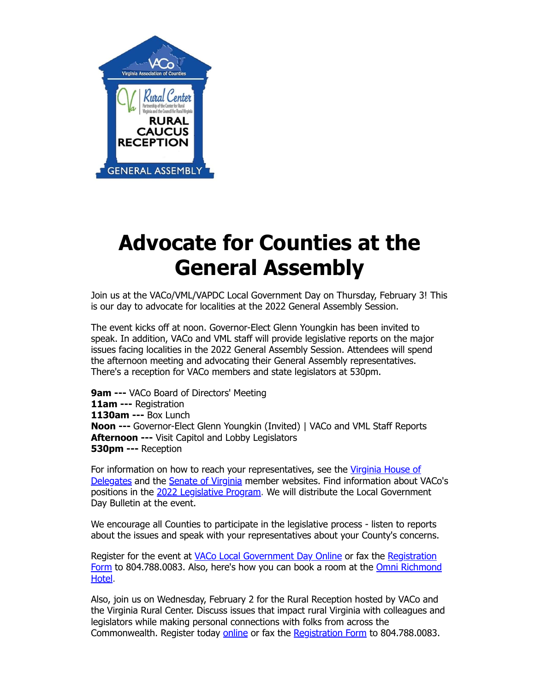

## **Advocate for Counties at the General Assembly**

Join us at the VACo/VML/VAPDC Local Government Day on Thursday, February 3! This is our day to advocate for localities at the 2022 General Assembly Session.

The event kicks off at noon. Governor-Elect Glenn Youngkin has been invited to speak. In addition, VACo and VML staff will provide legislative reports on the major issues facing localities in the 2022 General Assembly Session. Attendees will spend the afternoon meeting and advocating their General Assembly representatives. There's a reception for VACo members and state legislators at 530pm.

**9am ---** VACo Board of Directors' Meeting **11am ---** Registration **1130am ---** Box Lunch **Noon ---** Governor-Elect Glenn Youngkin (Invited) | VACo and VML Staff Reports **Afternoon ---** Visit Capitol and Lobby Legislators **530pm ---** Reception

[For information on how to reach your representatives, see the](https://r20.rs6.net/tn.jsp?f=001d73Ri_mZxLW4BlJuQAFH8GRFhj3Y2BHRXsQyH2xsmu3kFCaqUHeVuPbIuvUTz1-L1kjaFxRnT7oSEnWrTD5Y6uTdGgiadw6onZA3DrjftVeeb0h5UjKBod-XaV-okJoycdWG8GntxKm-wRw5IYKxhNZdRdieU7aMMKk8FdZEocJzm4Rv7DXRAIu2e_GQYb8mL7saX046fgQ=&c=Mx60NZdBLe5FuYfdIe6YfbtDQjYRZqOxrsfiYMdGSQSKwuD2gPbn0w==&ch=lLRtk-qlJSfwSW1Ysd5yu-0lV9qyTQDzEBnFxiJgP0mzy9jP4QQTPw==) Virginia House of Delegates and the [Senate of Virginia](https://r20.rs6.net/tn.jsp?f=001d73Ri_mZxLW4BlJuQAFH8GRFhj3Y2BHRXsQyH2xsmu3kFCaqUHeVuCIyGeTETPvcYwJ0YtLxxjRZvo4IEcPwQUZqpkX6c9z39w6sW4ArInqfQu9B1R2tRW9tnDk3AMIqLEbbM2lcHfRA7pYHJZWIMXjPOi75G_aNvzoCrNHI7ynEOUwTMzPtug==&c=Mx60NZdBLe5FuYfdIe6YfbtDQjYRZqOxrsfiYMdGSQSKwuD2gPbn0w==&ch=lLRtk-qlJSfwSW1Ysd5yu-0lV9qyTQDzEBnFxiJgP0mzy9jP4QQTPw==) member websites. Find information about VACo's positions in the [2022 Legislative Program.](https://r20.rs6.net/tn.jsp?f=001d73Ri_mZxLW4BlJuQAFH8GRFhj3Y2BHRXsQyH2xsmu3kFCaqUHeVuKgBDI_QX4tTeC6uXudo0rTSabpA2Rwb2qDtdCWEhmPvZEXABb-kzzjlBYld5p4aZ4VFaHF680NPDD5rnxH6zrBvORxLJqcpGBAiWgBEtsybdTdExpTMJBNwcjDMY_3KRjoWwVhIAujfeAnTw6cn7gU4fxtVi1CaBgpcFWSkGJwF&c=Mx60NZdBLe5FuYfdIe6YfbtDQjYRZqOxrsfiYMdGSQSKwuD2gPbn0w==&ch=lLRtk-qlJSfwSW1Ysd5yu-0lV9qyTQDzEBnFxiJgP0mzy9jP4QQTPw==) We will distribute the Local Government Day Bulletin at the event.

We encourage all Counties to participate in the legislative process - listen to reports about the issues and speak with your representatives about your County's concerns.

Register for the event at [VACo Local Government Day Online](https://r20.rs6.net/tn.jsp?f=001d73Ri_mZxLW4BlJuQAFH8GRFhj3Y2BHRXsQyH2xsmu3kFCaqUHeVuJA2nN0YciUCvREctZ30VdWvQCgDUbxBWd643jVSfuJILGJPhvEkHWslQUrZDbWQUooMlZPlWcZWN8F5oXGaNUZ8-Awe_hszWqowCUQzc1ziXV_n5B_m8Y2_cXcOychmDDYNxUCyY9XFGtXMMPdeOn43J-6GFJU_pYJ5OTKjNRav1PTTnkjFzvk=&c=Mx60NZdBLe5FuYfdIe6YfbtDQjYRZqOxrsfiYMdGSQSKwuD2gPbn0w==&ch=lLRtk-qlJSfwSW1Ysd5yu-0lV9qyTQDzEBnFxiJgP0mzy9jP4QQTPw==) or fax the Registration Form [to 804.788.0083. Also, here](https://r20.rs6.net/tn.jsp?f=001d73Ri_mZxLW4BlJuQAFH8GRFhj3Y2BHRXsQyH2xsmu3kFCaqUHeVuKgBDI_QX4tTegNbeK5cymc_iCiFxoY7GbIqSTAYFkm2wL3LFkAQRnauRLRaj_EoNE0ImwfNyUi52ohna6pyOTJqok-EPsIvquQ3o_JzbFsOJOz5lQcU9L-fsE4yDyLs67N-5d581u0lp8k47U78ND8lJ4-E8mNYTFZmiU8Y2QasorRZkHb3pddi542UelLQeyyZuM4QlxH4&c=Mx60NZdBLe5FuYfdIe6YfbtDQjYRZqOxrsfiYMdGSQSKwuD2gPbn0w==&ch=lLRtk-qlJSfwSW1Ysd5yu-0lV9qyTQDzEBnFxiJgP0mzy9jP4QQTPw==)['](https://r20.rs6.net/tn.jsp?f=001d73Ri_mZxLW4BlJuQAFH8GRFhj3Y2BHRXsQyH2xsmu3kFCaqUHeVuKgBDI_QX4tTpXvn1ZfQmobkrzsaRdwL2ZkgteQrEQMPQk5z6K4nJ58owA1m2vJxCN_JtQ_b7DCvEe2PjcrbespGwdsT2aEE9N5KY4UMFfe3cX1m3y8PTgQ6iTRSP9whyDT8i18BEP_gaARN6t2RneAI2bx-7x5avtM8bPzTicbUETFcJurwIJN6xna2zESqGA==&c=Mx60NZdBLe5FuYfdIe6YfbtDQjYRZqOxrsfiYMdGSQSKwuD2gPbn0w==&ch=lLRtk-qlJSfwSW1Ysd5yu-0lV9qyTQDzEBnFxiJgP0mzy9jP4QQTPw==)[s how you can book a room at the](https://r20.rs6.net/tn.jsp?f=001d73Ri_mZxLW4BlJuQAFH8GRFhj3Y2BHRXsQyH2xsmu3kFCaqUHeVuKgBDI_QX4tTegNbeK5cymc_iCiFxoY7GbIqSTAYFkm2wL3LFkAQRnauRLRaj_EoNE0ImwfNyUi52ohna6pyOTJqok-EPsIvquQ3o_JzbFsOJOz5lQcU9L-fsE4yDyLs67N-5d581u0lp8k47U78ND8lJ4-E8mNYTFZmiU8Y2QasorRZkHb3pddi542UelLQeyyZuM4QlxH4&c=Mx60NZdBLe5FuYfdIe6YfbtDQjYRZqOxrsfiYMdGSQSKwuD2gPbn0w==&ch=lLRtk-qlJSfwSW1Ysd5yu-0lV9qyTQDzEBnFxiJgP0mzy9jP4QQTPw==) Omni Richmond Hotel.

Also, join us on Wednesday, February 2 for the Rural Reception hosted by VACo and the Virginia Rural Center. Discuss issues that impact rural Virginia with colleagues and legislators while making personal connections with folks from across the Commonwealth. Register today [online](https://r20.rs6.net/tn.jsp?f=001d73Ri_mZxLW4BlJuQAFH8GRFhj3Y2BHRXsQyH2xsmu3kFCaqUHeVuFgp6rqZ2elUqbgf01Aj0cLAaNrdUSYVfnaNWK5mZGsG84dUVEkW--KuJlXmF1X4oLApGqppwCO5WRlmSb8dgViv5nxFlolrc28SEhSsutc1AWLItCGa4KG_Mq5PghKbXe1Nde5gZCNtn-sL7UXfDvfmF70Em12OmiuwqL3qPHNNBxAI7wfgpAE=&c=Mx60NZdBLe5FuYfdIe6YfbtDQjYRZqOxrsfiYMdGSQSKwuD2gPbn0w==&ch=lLRtk-qlJSfwSW1Ysd5yu-0lV9qyTQDzEBnFxiJgP0mzy9jP4QQTPw==) or fax the [Registration Form](https://r20.rs6.net/tn.jsp?f=001d73Ri_mZxLW4BlJuQAFH8GRFhj3Y2BHRXsQyH2xsmu3kFCaqUHeVuKgBDI_QX4tT5-PcH5boDtIDCjlTIZz655v4h-3fzR5a8fHSDdmnUN1p0p-tDOcc6AnNk7Xg5nW_EMEy390qKNxTi7ChuzQivrTBKKep35uz-IeHRFbMxOhFRKLVtqCKXk9lA0m1rY7mTd_xQR18RALYEBC8odeERtGrk6opfoAIS-gjZgmOocIFHpvIcyVQ9w==&c=Mx60NZdBLe5FuYfdIe6YfbtDQjYRZqOxrsfiYMdGSQSKwuD2gPbn0w==&ch=lLRtk-qlJSfwSW1Ysd5yu-0lV9qyTQDzEBnFxiJgP0mzy9jP4QQTPw==) to 804.788.0083.